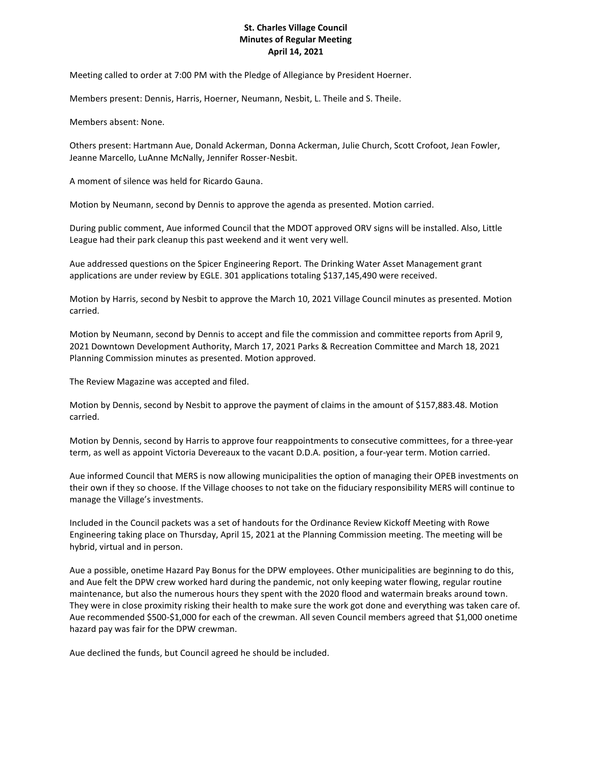## **St. Charles Village Council Minutes of Regular Meeting April 14, 2021**

Meeting called to order at 7:00 PM with the Pledge of Allegiance by President Hoerner.

Members present: Dennis, Harris, Hoerner, Neumann, Nesbit, L. Theile and S. Theile.

Members absent: None.

Others present: Hartmann Aue, Donald Ackerman, Donna Ackerman, Julie Church, Scott Crofoot, Jean Fowler, Jeanne Marcello, LuAnne McNally, Jennifer Rosser-Nesbit.

A moment of silence was held for Ricardo Gauna.

Motion by Neumann, second by Dennis to approve the agenda as presented. Motion carried.

During public comment, Aue informed Council that the MDOT approved ORV signs will be installed. Also, Little League had their park cleanup this past weekend and it went very well.

Aue addressed questions on the Spicer Engineering Report. The Drinking Water Asset Management grant applications are under review by EGLE. 301 applications totaling \$137,145,490 were received.

Motion by Harris, second by Nesbit to approve the March 10, 2021 Village Council minutes as presented. Motion carried.

Motion by Neumann, second by Dennis to accept and file the commission and committee reports from April 9, 2021 Downtown Development Authority, March 17, 2021 Parks & Recreation Committee and March 18, 2021 Planning Commission minutes as presented. Motion approved.

The Review Magazine was accepted and filed.

Motion by Dennis, second by Nesbit to approve the payment of claims in the amount of \$157,883.48. Motion carried.

Motion by Dennis, second by Harris to approve four reappointments to consecutive committees, for a three-year term, as well as appoint Victoria Devereaux to the vacant D.D.A. position, a four-year term. Motion carried.

Aue informed Council that MERS is now allowing municipalities the option of managing their OPEB investments on their own if they so choose. If the Village chooses to not take on the fiduciary responsibility MERS will continue to manage the Village's investments.

Included in the Council packets was a set of handouts for the Ordinance Review Kickoff Meeting with Rowe Engineering taking place on Thursday, April 15, 2021 at the Planning Commission meeting. The meeting will be hybrid, virtual and in person.

Aue a possible, onetime Hazard Pay Bonus for the DPW employees. Other municipalities are beginning to do this, and Aue felt the DPW crew worked hard during the pandemic, not only keeping water flowing, regular routine maintenance, but also the numerous hours they spent with the 2020 flood and watermain breaks around town. They were in close proximity risking their health to make sure the work got done and everything was taken care of. Aue recommended \$500-\$1,000 for each of the crewman. All seven Council members agreed that \$1,000 onetime hazard pay was fair for the DPW crewman.

Aue declined the funds, but Council agreed he should be included.